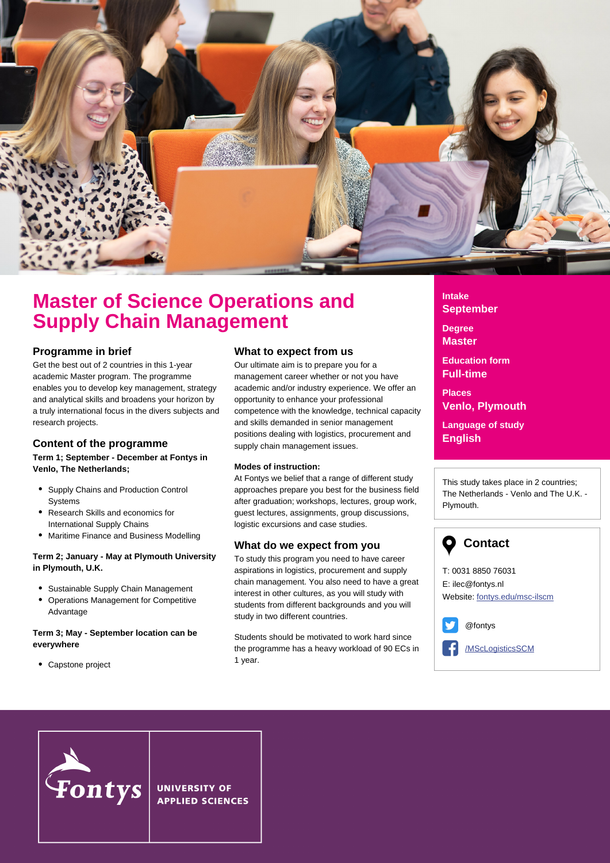

# **Master of Science Operations and Supply Chain Management**

### **Programme in brief**

Get the best out of 2 countries in this 1-year academic Master program. The programme enables you to develop key management, strategy and analytical skills and broadens your horizon by a truly international focus in the divers subjects and research projects.

## **Content of the programme**

#### **Term 1; September - December at Fontys in Venlo, The Netherlands;**

- Supply Chains and Production Control **Systems**
- Research Skills and economics for International Supply Chains
- Maritime Finance and Business Modelling

### **Term 2; January - May at Plymouth University in Plymouth, U.K.**

- Sustainable Supply Chain Management
- Operations Management for Competitive Advantage

#### **Term 3; May - September location can be everywhere**

Capstone project

### **What to expect from us**

Our ultimate aim is to prepare you for a management career whether or not you have academic and/or industry experience. We offer an opportunity to enhance your professional competence with the knowledge, technical capacity and skills demanded in senior management positions dealing with logistics, procurement and supply chain management issues.

### **Modes of instruction:**

At Fontys we belief that a range of different study approaches prepare you best for the business field after graduation; workshops, lectures, group work, guest lectures, assignments, group discussions, logistic excursions and case studies.

### **What do we expect from you**

To study this program you need to have career aspirations in logistics, procurement and supply chain management. You also need to have a great interest in other cultures, as you will study with students from different backgrounds and you will study in two different countries.

Students should be motivated to work hard since the programme has a heavy workload of 90 ECs in 1 year.

**Intake September**

**Degree Master**

**Education form Full-time**

**Places Venlo, Plymouth**

**Language of study English**

This study takes place in 2 countries; The Netherlands - Venlo and The U.K. - Plymouth.

# **Contact**

T: 0031 8850 76031 E: ilec@fontys.nl Website: [fontys.edu/msc-ilscm](http://fontys.edu/msc-ilscm/)

@fontys

[/MScLogisticsSCM](https://www.facebook.com/MScLogisticsSCM)



**UNIVERSITY OF APPLIED SCIENCES**